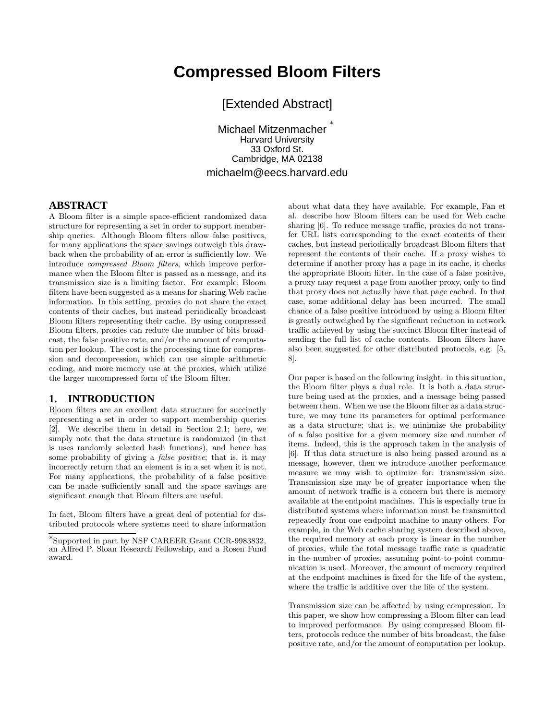# **Compressed Bloom Filters**

[Extended Abstract]

Michael Mitzenmacher <sup>∗</sup> Harvard University 33 Oxford St. Cambridge, MA 02138 michaelm@eecs.harvard.edu

## **ABSTRACT**

A Bloom filter is a simple space-efficient randomized data structure for representing a set in order to support membership queries. Although Bloom filters allow false positives, for many applications the space savings outweigh this drawback when the probability of an error is sufficiently low. We introduce *compressed Bloom filters*, which improve performance when the Bloom filter is passed as a message, and its transmission size is a limiting factor. For example, Bloom filters have been suggested as a means for sharing Web cache information. In this setting, proxies do not share the exact contents of their caches, but instead periodically broadcast Bloom filters representing their cache. By using compressed Bloom filters, proxies can reduce the number of bits broadcast, the false positive rate, and/or the amount of computation per lookup. The cost is the processing time for compression and decompression, which can use simple arithmetic coding, and more memory use at the proxies, which utilize the larger uncompressed form of the Bloom filter.

## **1. INTRODUCTION**

Bloom filters are an excellent data structure for succinctly representing a set in order to support membership queries [2]. We describe them in detail in Section 2.1; here, we simply note that the data structure is randomized (in that is uses randomly selected hash functions), and hence has some probability of giving a *false positive*; that is, it may incorrectly return that an element is in a set when it is not. For many applications, the probability of a false positive can be made sufficiently small and the space savings are significant enough that Bloom filters are useful.

In fact, Bloom filters have a great deal of potential for distributed protocols where systems need to share information about what data they have available. For example, Fan et al. describe how Bloom filters can be used for Web cache sharing [6]. To reduce message traffic, proxies do not transfer URL lists corresponding to the exact contents of their caches, but instead periodically broadcast Bloom filters that represent the contents of their cache. If a proxy wishes to determine if another proxy has a page in its cache, it checks the appropriate Bloom filter. In the case of a false positive, a proxy may request a page from another proxy, only to find that proxy does not actually have that page cached. In that case, some additional delay has been incurred. The small chance of a false positive introduced by using a Bloom filter is greatly outweighed by the significant reduction in network traffic achieved by using the succinct Bloom filter instead of sending the full list of cache contents. Bloom filters have also been suggested for other distributed protocols, e.g. [5, 8].

Our paper is based on the following insight: in this situation, the Bloom filter plays a dual role. It is both a data structure being used at the proxies, and a message being passed between them. When we use the Bloom filter as a data structure, we may tune its parameters for optimal performance as a data structure; that is, we minimize the probability of a false positive for a given memory size and number of items. Indeed, this is the approach taken in the analysis of [6]. If this data structure is also being passed around as a message, however, then we introduce another performance measure we may wish to optimize for: transmission size. Transmission size may be of greater importance when the amount of network traffic is a concern but there is memory available at the endpoint machines. This is especially true in distributed systems where information must be transmitted repeatedly from one endpoint machine to many others. For example, in the Web cache sharing system described above, the required memory at each proxy is linear in the number of proxies, while the total message traffic rate is quadratic in the number of proxies, assuming point-to-point communication is used. Moreover, the amount of memory required at the endpoint machines is fixed for the life of the system, where the traffic is additive over the life of the system.

Transmission size can be affected by using compression. In this paper, we show how compressing a Bloom filter can lead to improved performance. By using compressed Bloom filters, protocols reduce the number of bits broadcast, the false positive rate, and/or the amount of computation per lookup.

<sup>∗</sup>Supported in part by NSF CAREER Grant CCR-9983832, an Alfred P. Sloan Research Fellowship, and a Rosen Fund award.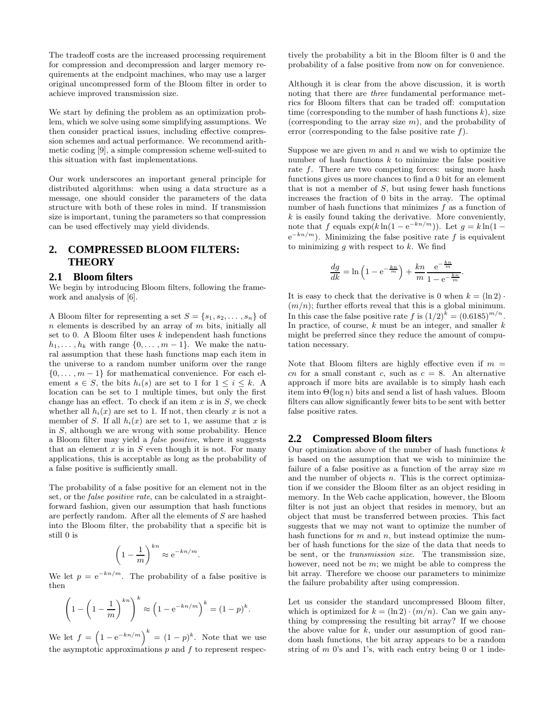The tradeoff costs are the increased processing requirement for compression and decompression and larger memory requirements at the endpoint machines, who may use a larger original uncompressed form of the Bloom filter in order to achieve improved transmission size.

We start by defining the problem as an optimization problem, which we solve using some simplifying assumptions. We then consider practical issues, including effective compression schemes and actual performance. We recommend arithmetic coding [9], a simple compression scheme well-suited to this situation with fast implementations.

Our work underscores an important general principle for distributed algorithms: when using a data structure as a message, one should consider the parameters of the data structure with both of these roles in mind. If transmission size is important, tuning the parameters so that compression can be used effectively may yield dividends.

# **2. COMPRESSED BLOOM FILTERS: THEORY**

#### **2.1 Bloom filters**

We begin by introducing Bloom filters, following the framework and analysis of [6].

A Bloom filter for representing a set  $S = \{s_1, s_2, \ldots, s_n\}$  of  $n$  elements is described by an array of  $m$  bits, initially all set to 0. A Bloom filter uses  $k$  independent hash functions  $h_1,\ldots,h_k$  with range  $\{0,\ldots,m-1\}$ . We make the natural assumption that these hash functions map each item in the universe to a random number uniform over the range  $\{0,\ldots,m-1\}$  for mathematical convenience. For each element  $s \in S$ , the bits  $h_i(s)$  are set to 1 for  $1 \leq i \leq k$ . A location can be set to 1 multiple times, but only the first change has an effect. To check if an item  $x$  is in  $S$ , we check whether all  $h_i(x)$  are set to 1. If not, then clearly x is not a member of S. If all  $h_i(x)$  are set to 1, we assume that x is in S, although we are wrong with some probability. Hence a Bloom filter may yield a *false positive*, where it suggests that an element  $x$  is in  $S$  even though it is not. For many applications, this is acceptable as long as the probability of a false positive is sufficiently small.

The probability of a false positive for an element not in the set, or the *false positive rate*, can be calculated in a straightforward fashion, given our assumption that hash functions are perfectly random. After all the elements of S are hashed into the Bloom filter, the probability that a specific bit is still 0 is

$$
\left(1 - \frac{1}{m}\right)^{kn} \approx e^{-kn/m}.
$$

We let  $p = e^{-kn/m}$ . The probability of a false positive is then

$$
\left(1 - \left(1 - \frac{1}{m}\right)^{kn}\right)^k \approx \left(1 - e^{-kn/m}\right)^k = (1 - p)^k.
$$

We let  $f = \left(1 - e^{-kn/m}\right)^k = (1 - p)^k$ . Note that we use the asymptotic approximations  $p$  and  $f$  to represent respectively the probability a bit in the Bloom filter is 0 and the probability of a false positive from now on for convenience.

Although it is clear from the above discussion, it is worth noting that there are *three* fundamental performance metrics for Bloom filters that can be traded off: computation time (corresponding to the number of hash functions  $k$ ), size (corresponding to the array size  $m$ ), and the probability of error (corresponding to the false positive rate  $f$ ).

Suppose we are given  $m$  and  $n$  and we wish to optimize the number of hash functions  $k$  to minimize the false positive rate f. There are two competing forces: using more hash functions gives us more chances to find a 0 bit for an element that is not a member of  $S$ , but using fewer hash functions increases the fraction of 0 bits in the array. The optimal number of hash functions that minimizes  $f$  as a function of  $k$  is easily found taking the derivative. More conveniently, note that f equals  $\exp(k \ln(1 - e^{-kn/m}))$ . Let  $g = k \ln(1$ e*−*kn/m). Minimizing the false positive rate f is equivalent to minimizing  $q$  with respect to  $k$ . We find

$$
\frac{dg}{dk} = \ln\left(1 - e^{-\frac{kn}{m}}\right) + \frac{kn}{m} \frac{e^{-\frac{kn}{m}}}{1 - e^{-\frac{kn}{m}}}.
$$

It is easy to check that the derivative is 0 when  $k = (\ln 2)$ .  $(m/n)$ ; further efforts reveal that this is a global minimum. In this case the false positive rate f is  $(1/2)^{\overline{k}} = (0.6185)^{m/n}$ . In practice, of course,  $k$  must be an integer, and smaller  $k$ might be preferred since they reduce the amount of computation necessary.

Note that Bloom filters are highly effective even if  $m =$ cn for a small constant c, such as  $c = 8$ . An alternative approach if more bits are available is to simply hash each item into  $\Theta(\log n)$  bits and send a list of hash values. Bloom filters can allow significantly fewer bits to be sent with better false positive rates.

#### **2.2 Compressed Bloom filters**

Our optimization above of the number of hash functions  $k$ is based on the assumption that we wish to minimize the failure of a false positive as a function of the array size  $m$ and the number of objects  $n$ . This is the correct optimization if we consider the Bloom filter as an object residing in memory. In the Web cache application, however, the Bloom filter is not just an object that resides in memory, but an object that must be transferred between proxies. This fact suggests that we may not want to optimize the number of hash functions for  $m$  and  $n$ , but instead optimize the number of hash functions for the size of the data that needs to be sent, or the *transmission size*. The transmission size, however, need not be  $m$ ; we might be able to compress the bit array. Therefore we choose our parameters to minimize the failure probability after using compression.

Let us consider the standard uncompressed Bloom filter, which is optimized for  $k = (\ln 2) \cdot (m/n)$ . Can we gain anything by compressing the resulting bit array? If we choose the above value for  $k$ , under our assumption of good random hash functions, the bit array appears to be a random string of  $m$  0's and 1's, with each entry being 0 or 1 inde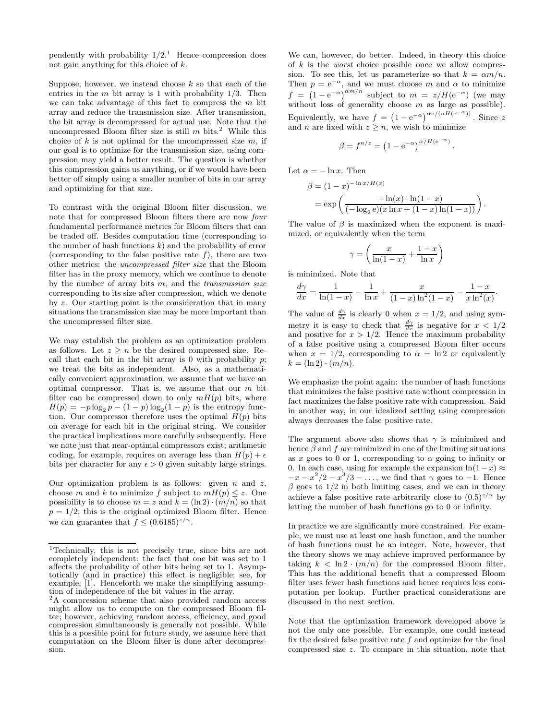pendently with probability  $1/2$ <sup>1</sup> Hence compression does not gain anything for this choice of  $k$ .

Suppose, however, we instead choose  $k$  so that each of the entries in the  $m$  bit array is 1 with probability  $1/3$ . Then we can take advantage of this fact to compress the  $m$  bit array and reduce the transmission size. After transmission, the bit array is decompressed for actual use. Note that the uncompressed Bloom filter size is still  $m$  bits.<sup>2</sup> While this choice of  $k$  is not optimal for the uncompressed size  $m$ , if our goal is to optimize for the transmission size, using compression may yield a better result. The question is whether this compression gains us anything, or if we would have been better off simply using a smaller number of bits in our array and optimizing for that size.

To contrast with the original Bloom filter discussion, we note that for compressed Bloom filters there are now *four* fundamental performance metrics for Bloom filters that can be traded off. Besides computation time (corresponding to the number of hash functions  $k$ ) and the probability of error (corresponding to the false positive rate  $f$ ), there are two other metrics: the *uncompressed filter size* that the Bloom filter has in the proxy memory, which we continue to denote by the number of array bits m; and the *transmission size* corresponding to its size after compression, which we denote by z. Our starting point is the consideration that in many situations the transmission size may be more important than the uncompressed filter size.

We may establish the problem as an optimization problem as follows. Let  $z \geq n$  be the desired compressed size. Recall that each bit in the bit array is 0 with probability  $p$ ; we treat the bits as independent. Also, as a mathematically convenient approximation, we assume that we have an optimal compressor. That is, we assume that our  $m$  bit filter can be compressed down to only  $mH(p)$  bits, where  $H(p) = -p \log_2 p - (1-p) \log_2(1-p)$  is the entropy function. Our compressor therefore uses the optimal  $H(p)$  bits on average for each bit in the original string. We consider the practical implications more carefully subsequently. Here we note just that near-optimal compressors exist; arithmetic coding, for example, requires on average less than  $H(p) + \epsilon$ bits per character for any  $\epsilon > 0$  given suitably large strings.

Our optimization problem is as follows: given  $n$  and  $z$ , choose m and k to minimize f subject to  $mH(p) \leq z$ . One possibility is to choose  $m = z$  and  $k = (\ln 2) \cdot (m/n)$  so that  $p = 1/2$ ; this is the original optimized Bloom filter. Hence we can guarantee that  $f \leq (0.6185)^{z/n}$ .

We can, however, do better. Indeed, in theory this choice of k is the *worst* choice possible once we allow compression. To see this, let us parameterize so that  $k = \alpha m/n$ . Then  $p = e^{-\alpha}$ , and we must choose m and  $\alpha$  to minimize  $f = (1 - e^{-\alpha})^{\alpha m/n}$  subject to  $m = z/H(e^{-\alpha})$  (we may without loss of generality choose  $m$  as large as possible). Equivalently, we have  $f = (1 - e^{-\alpha})^{\alpha z/(nH(e^{-\alpha}))}$ . Since z and *n* are fixed with  $z > n$ , we wish to minimize

$$
\beta = f^{n/z} = (1 - e^{-\alpha})^{\alpha/H(e^{-\alpha})}.
$$

Let  $\alpha = -\ln x$ . Then

$$
\beta = (1 - x)^{-\ln x / H(x)}
$$
  
=  $\exp \left( \frac{-\ln(x) \cdot \ln(1 - x)}{(-\log_2 e)(x \ln x + (1 - x) \ln(1 - x))} \right).$ 

<sup>1</sup> ln x/<sub>H</sub>

The value of  $\beta$  is maximized when the exponent is maximized, or equivalently when the term

$$
\gamma = \left(\frac{x}{\ln(1-x)} + \frac{1-x}{\ln x}\right)
$$

is minimized. Note that

$$
\frac{d\gamma}{dx} = \frac{1}{\ln(1-x)} - \frac{1}{\ln x} + \frac{x}{(1-x)\ln^2(1-x)} - \frac{1-x}{x\ln^2(x)}.
$$

The value of  $\frac{d\gamma}{dx}$  is clearly 0 when  $x = 1/2$ , and using symmetry it is easy to check that  $\frac{d\gamma}{dx}$  is negative for  $x < 1/2$ and positive for  $x > 1/2$ . Hence the maximum probability of a false positive using a compressed Bloom filter occurs when  $x = 1/2$ , corresponding to  $\alpha = \ln 2$  or equivalently  $k = (\ln 2) \cdot (m/n).$ 

We emphasize the point again: the number of hash functions that minimizes the false positive rate without compression in fact maximizes the false positive rate with compression. Said in another way, in our idealized setting using compression always decreases the false positive rate.

The argument above also shows that  $\gamma$  is minimized and hence  $\beta$  and f are minimized in one of the limiting situations as x goes to 0 or 1, corresponding to  $\alpha$  going to infinity or 0. In each case, using for example the expansion  $ln(1-x) \approx$  $-x-x^2/2-x^3/3-\ldots$ , we find that  $\gamma$  goes to -1. Hence  $\beta$  goes to 1/2 in both limiting cases, and we can in theory achieve a false positive rate arbitrarily close to  $(0.5)^{z/n}$  by letting the number of hash functions go to 0 or infinity.

In practice we are significantly more constrained. For example, we must use at least one hash function, and the number of hash functions must be an integer. Note, however, that the theory shows we may achieve improved performance by taking  $k < \ln 2 \cdot (m/n)$  for the compressed Bloom filter. This has the additional benefit that a compressed Bloom filter uses fewer hash functions and hence requires less computation per lookup. Further practical considerations are discussed in the next section.

Note that the optimization framework developed above is not the only one possible. For example, one could instead fix the desired false positive rate  $f$  and optimize for the final compressed size z. To compare in this situation, note that

<sup>1</sup>Technically, this is not precisely true, since bits are not completely independent: the fact that one bit was set to 1 affects the probability of other bits being set to 1. Asymptotically (and in practice) this effect is negligible; see, for example, [1]. Henceforth we make the simplifying assumption of independence of the bit values in the array.

<sup>2</sup>A compression scheme that also provided random access might allow us to compute on the compressed Bloom filter; however, achieving random access, efficiency, and good compression simultaneously is generally not possible. While this is a possible point for future study, we assume here that computation on the Bloom filter is done after decompression.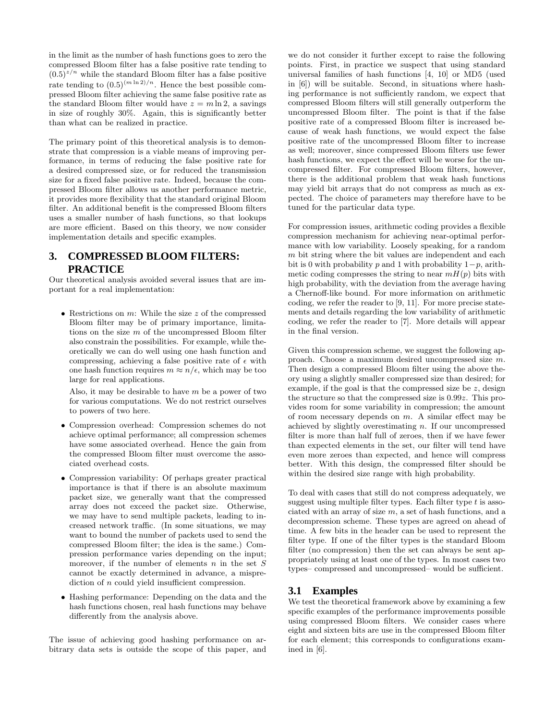in the limit as the number of hash functions goes to zero the compressed Bloom filter has a false positive rate tending to  $(0.5)^{z/n}$  while the standard Bloom filter has a false positive rate tending to  $(0.5)^{(m \ln 2)/n}$ . Hence the best possible compressed Bloom filter achieving the same false positive rate as the standard Bloom filter would have  $z = m \ln 2$ , a savings in size of roughly 30%. Again, this is significantly better than what can be realized in practice.

The primary point of this theoretical analysis is to demonstrate that compression is a viable means of improving performance, in terms of reducing the false positive rate for a desired compressed size, or for reduced the transmission size for a fixed false positive rate. Indeed, because the compressed Bloom filter allows us another performance metric, it provides more flexibility that the standard original Bloom filter. An additional benefit is the compressed Bloom filters uses a smaller number of hash functions, so that lookups are more efficient. Based on this theory, we now consider implementation details and specific examples.

# **3. COMPRESSED BLOOM FILTERS: PRACTICE**

Our theoretical analysis avoided several issues that are important for a real implementation:

• Restrictions on  $m$ : While the size  $z$  of the compressed Bloom filter may be of primary importance, limitations on the size  $m$  of the uncompressed Bloom filter also constrain the possibilities. For example, while theoretically we can do well using one hash function and compressing, achieving a false positive rate of  $\epsilon$  with one hash function requires  $m \approx n/\epsilon$ , which may be too large for real applications.

Also, it may be desirable to have  $m$  be a power of two for various computations. We do not restrict ourselves to powers of two here.

- Compression overhead: Compression schemes do not achieve optimal performance; all compression schemes have some associated overhead. Hence the gain from the compressed Bloom filter must overcome the associated overhead costs.
- Compression variability: Of perhaps greater practical importance is that if there is an absolute maximum packet size, we generally want that the compressed array does not exceed the packet size. Otherwise, we may have to send multiple packets, leading to increased network traffic. (In some situations, we may want to bound the number of packets used to send the compressed Bloom filter; the idea is the same.) Compression performance varies depending on the input; moreover, if the number of elements  $n$  in the set  $S$ cannot be exactly determined in advance, a misprediction of n could yield insufficient compression.
- Hashing performance: Depending on the data and the hash functions chosen, real hash functions may behave differently from the analysis above.

The issue of achieving good hashing performance on arbitrary data sets is outside the scope of this paper, and

we do not consider it further except to raise the following points. First, in practice we suspect that using standard universal families of hash functions [4, 10] or MD5 (used in [6]) will be suitable. Second, in situations where hashing performance is not sufficiently random, we expect that compressed Bloom filters will still generally outperform the uncompressed Bloom filter. The point is that if the false positive rate of a compressed Bloom filter is increased because of weak hash functions, we would expect the false positive rate of the uncompressed Bloom filter to increase as well; moreover, since compressed Bloom filters use fewer hash functions, we expect the effect will be worse for the uncompressed filter. For compressed Bloom filters, however, there is the additional problem that weak hash functions may yield bit arrays that do not compress as much as expected. The choice of parameters may therefore have to be tuned for the particular data type.

For compression issues, arithmetic coding provides a flexible compression mechanism for achieving near-optimal performance with low variability. Loosely speaking, for a random m bit string where the bit values are independent and each bit is 0 with probability p and 1 with probability  $1-p$ , arithmetic coding compresses the string to near  $mH(p)$  bits with high probability, with the deviation from the average having a Chernoff-like bound. For more information on arithmetic coding, we refer the reader to [9, 11]. For more precise statements and details regarding the low variability of arithmetic coding, we refer the reader to [7]. More details will appear in the final version.

Given this compression scheme, we suggest the following approach. Choose a maximum desired uncompressed size m. Then design a compressed Bloom filter using the above theory using a slightly smaller compressed size than desired; for example, if the goal is that the compressed size be  $z$ , design the structure so that the compressed size is 0.99z. This provides room for some variability in compression; the amount of room necessary depends on m. A similar effect may be achieved by slightly overestimating  $n$ . If our uncompressed filter is more than half full of zeroes, then if we have fewer than expected elements in the set, our filter will tend have even more zeroes than expected, and hence will compress better. With this design, the compressed filter should be within the desired size range with high probability.

To deal with cases that still do not compress adequately, we suggest using multiple filter types. Each filter type  $t$  is associated with an array of size  $m$ , a set of hash functions, and a decompression scheme. These types are agreed on ahead of time. A few bits in the header can be used to represent the filter type. If one of the filter types is the standard Bloom filter (no compression) then the set can always be sent appropriately using at least one of the types. In most cases two types– compressed and uncompressed– would be sufficient.

## **3.1 Examples**

We test the theoretical framework above by examining a few specific examples of the performance improvements possible using compressed Bloom filters. We consider cases where eight and sixteen bits are use in the compressed Bloom filter for each element; this corresponds to configurations examined in [6].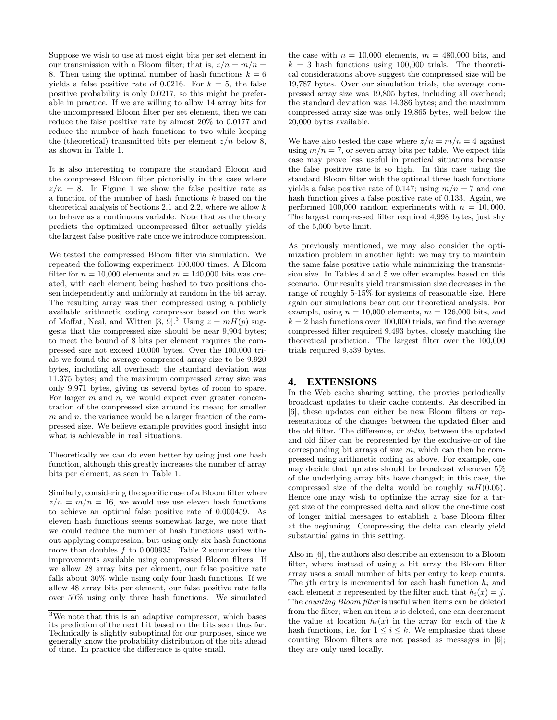Suppose we wish to use at most eight bits per set element in our transmission with a Bloom filter; that is,  $z/n = m/n =$ 8. Then using the optimal number of hash functions  $k = 6$ yields a false positive rate of 0.0216. For  $k = 5$ , the false positive probability is only 0.0217, so this might be preferable in practice. If we are willing to allow 14 array bits for the uncompressed Bloom filter per set element, then we can reduce the false positive rate by almost 20% to 0.0177 and reduce the number of hash functions to two while keeping the (theoretical) transmitted bits per element  $z/n$  below 8, as shown in Table 1.

It is also interesting to compare the standard Bloom and the compressed Bloom filter pictorially in this case where  $z/n = 8$ . In Figure 1 we show the false positive rate as a function of the number of hash functions k based on the theoretical analysis of Sections 2.1 and 2.2, where we allow  $k$ to behave as a continuous variable. Note that as the theory predicts the optimized uncompressed filter actually yields the largest false positive rate once we introduce compression.

We tested the compressed Bloom filter via simulation. We repeated the following experiment 100,000 times. A Bloom filter for  $n = 10,000$  elements and  $m = 140,000$  bits was created, with each element being hashed to two positions chosen independently and uniformly at random in the bit array. The resulting array was then compressed using a publicly available arithmetic coding compressor based on the work of Moffat, Neal, and Witten [3, 9].<sup>3</sup> Using  $z = mH(p)$  suggests that the compressed size should be near 9,904 bytes; to meet the bound of 8 bits per element requires the compressed size not exceed 10,000 bytes. Over the 100,000 trials we found the average compressed array size to be 9,920 bytes, including all overhead; the standard deviation was 11.375 bytes; and the maximum compressed array size was only 9,971 bytes, giving us several bytes of room to spare. For larger  $m$  and  $n$ , we would expect even greater concentration of the compressed size around its mean; for smaller  $m$  and  $n$ , the variance would be a larger fraction of the compressed size. We believe example provides good insight into what is achievable in real situations.

Theoretically we can do even better by using just one hash function, although this greatly increases the number of array bits per element, as seen in Table 1.

Similarly, considering the specific case of a Bloom filter where  $z/n = m/n = 16$ , we would use use eleven hash functions to achieve an optimal false positive rate of 0.000459. As eleven hash functions seems somewhat large, we note that we could reduce the number of hash functions used without applying compression, but using only six hash functions more than doubles f to 0.000935. Table 2 summarizes the improvements available using compressed Bloom filters. If we allow 28 array bits per element, our false positive rate falls about 30% while using only four hash functions. If we allow 48 array bits per element, our false positive rate falls over 50% using only three hash functions. We simulated

the case with  $n = 10,000$  elements,  $m = 480,000$  bits, and  $k = 3$  hash functions using 100,000 trials. The theoretical considerations above suggest the compressed size will be 19,787 bytes. Over our simulation trials, the average compressed array size was 19,805 bytes, including all overhead; the standard deviation was 14.386 bytes; and the maximum compressed array size was only 19,865 bytes, well below the 20,000 bytes available.

We have also tested the case where  $z/n = m/n = 4$  against using  $m/n = 7$ , or seven array bits per table. We expect this case may prove less useful in practical situations because the false positive rate is so high. In this case using the standard Bloom filter with the optimal three hash functions yields a false positive rate of 0.147; using  $m/n = 7$  and one hash function gives a false positive rate of 0.133. Again, we performed 100,000 random experiments with  $n = 10,000$ . The largest compressed filter required 4,998 bytes, just shy of the 5,000 byte limit.

As previously mentioned, we may also consider the optimization problem in another light: we may try to maintain the same false positive ratio while minimizing the transmission size. In Tables 4 and 5 we offer examples based on this scenario. Our results yield transmission size decreases in the range of roughly 5-15% for systems of reasonable size. Here again our simulations bear out our theoretical analysis. For example, using  $n = 10,000$  elements,  $m = 126,000$  bits, and  $k = 2$  hash functions over 100,000 trials, we find the average compressed filter required 9,493 bytes, closely matching the theoretical prediction. The largest filter over the 100,000 trials required 9,539 bytes.

## **4. EXTENSIONS**

In the Web cache sharing setting, the proxies periodically broadcast updates to their cache contents. As described in [6], these updates can either be new Bloom filters or representations of the changes between the updated filter and the old filter. The difference, or *delta*, between the updated and old filter can be represented by the exclusive-or of the corresponding bit arrays of size  $m$ , which can then be compressed using arithmetic coding as above. For example, one may decide that updates should be broadcast whenever 5% of the underlying array bits have changed; in this case, the compressed size of the delta would be roughly  $mH(0.05)$ . Hence one may wish to optimize the array size for a target size of the compressed delta and allow the one-time cost of longer initial messages to establish a base Bloom filter at the beginning. Compressing the delta can clearly yield substantial gains in this setting.

Also in [6], the authors also describe an extension to a Bloom filter, where instead of using a bit array the Bloom filter array uses a small number of bits per entry to keep counts. The *j*th entry is incremented for each hash function  $h_i$  and each element x represented by the filter such that  $h_i(x) = j$ . The *counting Bloom filter* is useful when items can be deleted from the filter; when an item  $x$  is deleted, one can decrement the value at location  $h_i(x)$  in the array for each of the k hash functions, i.e. for  $1 \leq i \leq k$ . We emphasize that these counting Bloom filters are not passed as messages in [6]; they are only used locally.

<sup>3</sup>We note that this is an adaptive compressor, which bases its prediction of the next bit based on the bits seen thus far. Technically is slightly suboptimal for our purposes, since we generally know the probability distribution of the bits ahead of time. In practice the difference is quite small.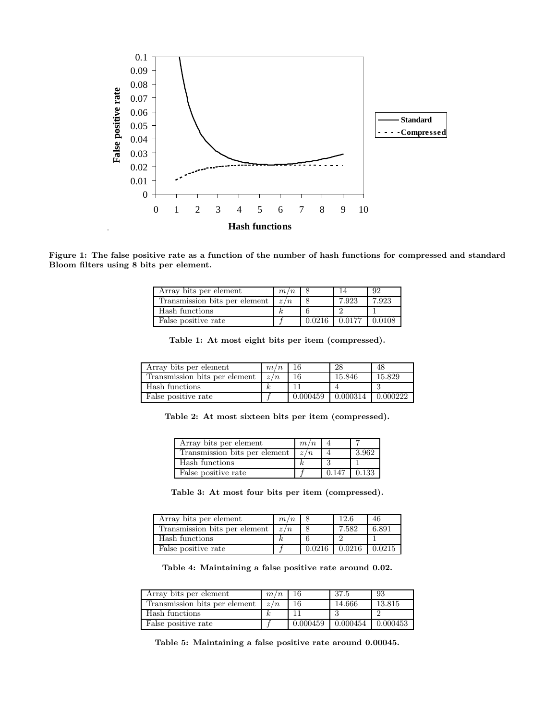

**Figure 1: The false positive rate as a function of the number of hash functions for compressed and standard Bloom filters using 8 bits per element.**

| Array bits per element        | m/n |                     | 92     |
|-------------------------------|-----|---------------------|--------|
| Transmission bits per element | z/n | 7.923               | 7.923  |
| Hash functions                |     |                     |        |
| False positive rate           |     | $0.0216 \pm 0.0177$ | 0.0108 |

**Table 1: At most eight bits per item (compressed).**

| Array bits per element        | m/n |          | 28       | 48       |
|-------------------------------|-----|----------|----------|----------|
| Transmission bits per element | z/n |          | 15.846   | 15.829   |
| Hash functions                |     |          |          |          |
| False positive rate           |     | 0.000459 | 0.000314 | 0.000222 |

**Table 2: At most sixteen bits per item (compressed).**

| Array bits per element        | m/n |       |       |
|-------------------------------|-----|-------|-------|
| Transmission bits per element | z/n |       | 3.962 |
| Hash functions                |     |       |       |
| False positive rate           |     | 0.147 | 0.133 |

**Table 3: At most four bits per item (compressed).**

| Array bits per element        | m/n |        | 12.6                    | 46    |
|-------------------------------|-----|--------|-------------------------|-------|
| Transmission bits per element | z/n |        | 7.582                   | 6.891 |
| Hash functions                |     |        |                         |       |
| False positive rate           |     | 0.0216 | $\pm 0.0216 \pm 0.0215$ |       |

**Table 4: Maintaining a false positive rate around 0.02.**

|                     | Array bits per element        | m/n |          | 37.5                    | 93     |
|---------------------|-------------------------------|-----|----------|-------------------------|--------|
|                     | Transmission bits per element | z/n |          | 14.666                  | 13.815 |
| Hash functions      |                               |     |          |                         |        |
| False positive rate |                               |     | 0.000459 | $0.000454 \pm 0.000453$ |        |

**Table 5: Maintaining a false positive rate around 0.00045.**